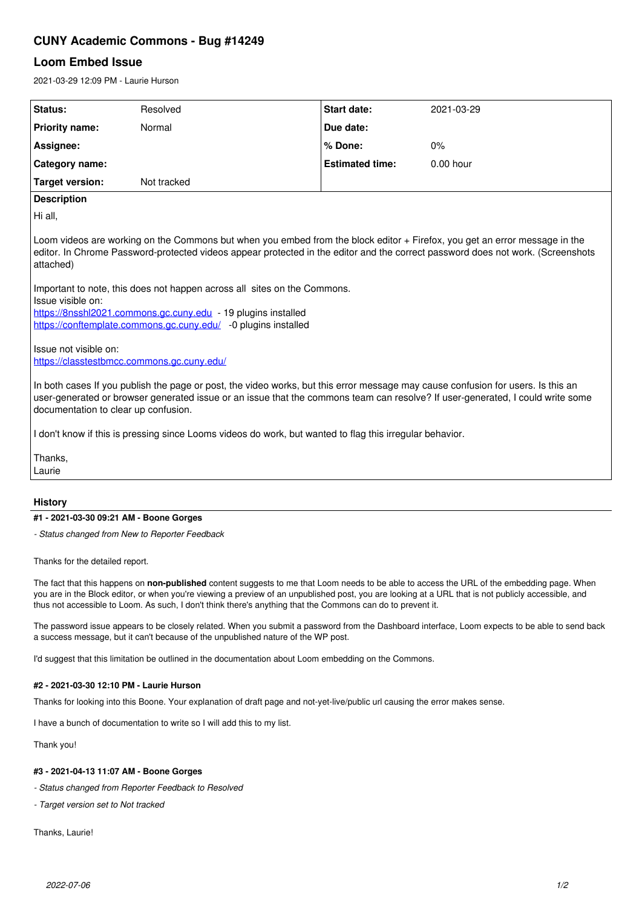# **CUNY Academic Commons - Bug #14249**

## **Loom Embed Issue**

2021-03-29 12:09 PM - Laurie Hurson

| Status:                                                                                                                                                                                                                                                                                                    | Resolved    | <b>Start date:</b>     | 2021-03-29  |  |
|------------------------------------------------------------------------------------------------------------------------------------------------------------------------------------------------------------------------------------------------------------------------------------------------------------|-------------|------------------------|-------------|--|
| <b>Priority name:</b>                                                                                                                                                                                                                                                                                      | Normal      | Due date:              |             |  |
| Assignee:                                                                                                                                                                                                                                                                                                  |             | % Done:                | 0%          |  |
| Category name:                                                                                                                                                                                                                                                                                             |             | <b>Estimated time:</b> | $0.00$ hour |  |
| Target version:                                                                                                                                                                                                                                                                                            | Not tracked |                        |             |  |
| <b>Description</b>                                                                                                                                                                                                                                                                                         |             |                        |             |  |
| Hi all,                                                                                                                                                                                                                                                                                                    |             |                        |             |  |
| Loom videos are working on the Commons but when you embed from the block editor + Firefox, you get an error message in the<br>editor. In Chrome Password-protected videos appear protected in the editor and the correct password does not work. (Screenshots<br>attached)                                 |             |                        |             |  |
| Important to note, this does not happen across all sites on the Commons.<br>Issue visible on:<br>https://8nsshl2021.commons.gc.cuny.edu - 19 plugins installed<br>https://conftemplate.commons.gc.cuny.edu/ -0 plugins installed                                                                           |             |                        |             |  |
| Issue not visible on:<br>https://classtestbmcc.commons.gc.cuny.edu/                                                                                                                                                                                                                                        |             |                        |             |  |
| In both cases If you publish the page or post, the video works, but this error message may cause confusion for users. Is this an<br>user-generated or browser generated issue or an issue that the commons team can resolve? If user-generated, I could write some<br>documentation to clear up confusion. |             |                        |             |  |
| I don't know if this is pressing since Looms videos do work, but wanted to flag this irregular behavior.                                                                                                                                                                                                   |             |                        |             |  |
| Thanks,                                                                                                                                                                                                                                                                                                    |             |                        |             |  |

Laurie

### **History**

#### **#1 - 2021-03-30 09:21 AM - Boone Gorges**

*- Status changed from New to Reporter Feedback*

Thanks for the detailed report.

The fact that this happens on **non-published** content suggests to me that Loom needs to be able to access the URL of the embedding page. When you are in the Block editor, or when you're viewing a preview of an unpublished post, you are looking at a URL that is not publicly accessible, and thus not accessible to Loom. As such, I don't think there's anything that the Commons can do to prevent it.

The password issue appears to be closely related. When you submit a password from the Dashboard interface, Loom expects to be able to send back a success message, but it can't because of the unpublished nature of the WP post.

I'd suggest that this limitation be outlined in the documentation about Loom embedding on the Commons.

#### **#2 - 2021-03-30 12:10 PM - Laurie Hurson**

Thanks for looking into this Boone. Your explanation of draft page and not-yet-live/public url causing the error makes sense.

I have a bunch of documentation to write so I will add this to my list.

Thank you!

#### **#3 - 2021-04-13 11:07 AM - Boone Gorges**

*- Status changed from Reporter Feedback to Resolved*

*- Target version set to Not tracked*

Thanks, Laurie!